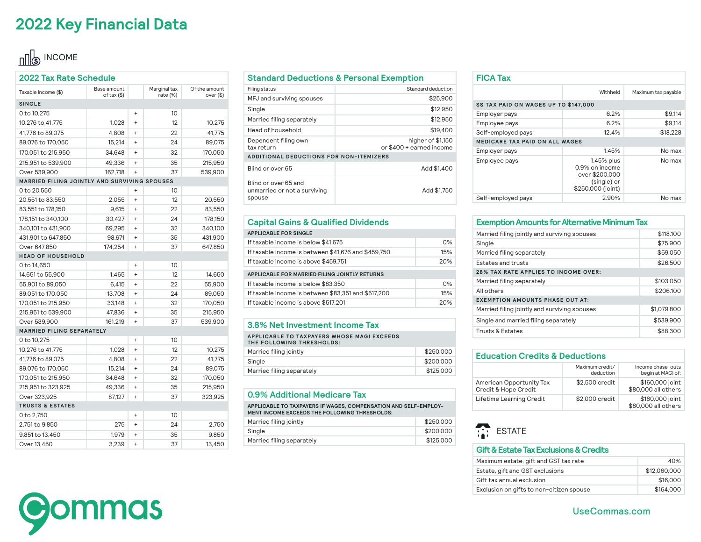### **2022 Key Financial Data**

## $\frac{1}{2}$  INCOME

| 2022 Tax Rate Schedule                       |                            |           |                          |                              |
|----------------------------------------------|----------------------------|-----------|--------------------------|------------------------------|
| Taxable Income (\$)                          | Base amount<br>of tax (\$) |           | Marginal tax<br>rate (%) | Of the amount<br>over $(\$)$ |
| <b>SINGLE</b>                                |                            |           |                          |                              |
| 0 to 10,275                                  |                            | $\ddot{}$ | 10                       |                              |
| 10,276 to 41,775                             | 1,028                      | $\ddot{}$ | 12                       | 10,275                       |
| 41,776 to 89,075                             | 4,808                      | $\ddot{}$ | 22                       | 41,775                       |
| 89,076 to 170,050                            | 15,214                     | $\ddot{}$ | 24                       | 89,075                       |
| 170,051 to 215,950                           | 34,648                     | $\ddot{}$ | 32                       | 170,050                      |
| 215,951 to 539,900                           | 49,336                     | $\ddot{}$ | 35                       | 215,950                      |
| Over 539,900                                 | 162,718                    | $\ddot{}$ | 37                       | 539,900                      |
| MARRIED FILING JOINTLY AND SURVIVING SPOUSES |                            |           |                          |                              |
| 0 to 20,550                                  |                            | $\ddot{}$ | 10                       |                              |
| 20,551 to 83,550                             | 2,055                      | $\ddot{}$ | 12                       | 20,550                       |
| 83,551 to 178,150                            | 9,615                      | $\ddot{}$ | 22                       | 83,550                       |
| 178,151 to 340,100                           | 30,427                     | $\ddot{}$ | 24                       | 178,150                      |
| 340,101 to 431,900                           | 69,295                     | $\ddot{}$ | 32                       | 340,100                      |
| 431,901 to 647,850                           | 98,671                     | $\ddot{}$ | 35                       | 431,900                      |
| Over 647,850                                 | 174,254                    | $\ddot{}$ | 37                       | 647,850                      |
| <b>HEAD OF HOUSEHOLD</b>                     |                            |           |                          |                              |
| 0 to 14,650                                  |                            | $\ddot{}$ | 10                       |                              |
| 14,651 to 55,900                             | 1,465                      | $\ddot{}$ | 12                       | 14,650                       |
| 55,901 to 89,050                             | 6,415                      | $\ddot{}$ | 22                       | 55,900                       |
| 89,051 to 170,050                            | 13,708                     | $\ddot{}$ | 24                       | 89,050                       |
| 170,051 to 215,950                           | 33,148                     | $\ddot{}$ | 32                       | 170,050                      |
| 215,951 to 539,900                           | 47,836                     | $\ddot{}$ | 35                       | 215,950                      |
| Over 539,900                                 | 161,219                    | $\ddot{}$ | 37                       | 539,900                      |
| MARRIED FILING SEPARATELY                    |                            |           |                          |                              |
| 0 to 10,275                                  |                            | $\ddot{}$ | 10                       |                              |
| 10,276 to 41,775                             | 1,028                      | $\ddot{}$ | 12                       | 10,275                       |
| 41,776 to 89,075                             | 4,808                      | $\ddot{}$ | 22                       | 41,775                       |
| 89,076 to 170,050                            | 15,214                     | $\ddot{}$ | 24                       | 89,075                       |
| 170,051 to 215,950                           | 34,648                     | $\ddot{}$ | 32                       | 170,050                      |
| 215,951 to 323,925                           | 49,336                     | $\ddot{}$ | 35                       | 215,950                      |
| Over 323,925                                 | 87,127                     | $\ddot{}$ | 37                       | 323,925                      |
| <b>TRUSTS &amp; ESTATES</b>                  |                            |           |                          |                              |
| 0 to 2,750                                   |                            | $\ddot{}$ | 10                       |                              |
| 2,751 to 9,850                               | 275                        | $\ddot{}$ | 24                       | 2,750                        |
| 9,851 to 13,450                              | 1.979                      | $\ddot{}$ | 35                       | 9,850                        |
| Over 13,450                                  | 3,239                      | $\ddot{}$ | 37                       | 13,450                       |

### **Standard Deductions & Personal Exemption**

| Filing status                                                  | Standard deduction                            |
|----------------------------------------------------------------|-----------------------------------------------|
| MFJ and surviving spouses                                      | \$25,900                                      |
| Single                                                         | \$12,950                                      |
| Married filing separately                                      | \$12,950                                      |
| Head of household                                              | \$19,400                                      |
| Dependent filing own<br>tax return                             | higher of \$1,150<br>or \$400 + earned income |
| <b>ADDITIONAL DEDUCTIONS FOR NON-ITEMIZERS</b>                 |                                               |
| Blind or over 65                                               | Add \$1,400                                   |
| Blind or over 65 and<br>unmarried or not a surviving<br>spouse | Add \$1.750                                   |

### **Capital Gains & Qualified Dividends**

| <b>APPLICABLE FOR SINGLE</b>                        |     |
|-----------------------------------------------------|-----|
| If taxable income is below \$41,675                 | 0%  |
| If taxable income is between \$41,676 and \$459,750 | 15% |
| If taxable income is above \$459.751                | 20% |
| APPLICABLE FOR MARRIED FILING JOINTLY RETURNS       |     |
|                                                     |     |
| If taxable income is below \$83,350                 | 0%  |
| If taxable income is between \$83,351 and \$517,200 | 15% |
| If taxable income is above \$517,201                | 20% |
|                                                     |     |

### **3.8% Net Investment Income Tax**

**APPLICABLE TO TAXPAYERS WHOSE MAGI EXCEEDS THE FOLLOWING THRESHOLDS:**

| Married filing jointly    | \$250,000 |
|---------------------------|-----------|
| Single                    | \$200,000 |
| Married filing separately | \$125,000 |

### **0.9% Additional Medicare Tax**

**APPLICABLE TO TAXPAYERS IF WAGES, COMPENSATION AND SELF-EMPLOY-MENT INCOME EXCEEDS THE FOLLOWING THRESHOLDS:**

| Married filing jointly    | \$250.000 |
|---------------------------|-----------|
| Sinale                    | \$200,000 |
| Married filing separately | \$125,000 |

#### **FICA Tax** Withheld Maximum tax payable **SS TAX PAID ON WAGES UP TO \$147,000** Employer pays and the set of the set of the set of the set of the set of the set of the set of the set of the set of the set of the set of the set of the set of the set of the set of the set of the set of the set of the se Employee pays 6.2% \$9,114 Self-employed pays 12.4% \$18,228 **MEDICARE TAX PAID ON ALL WAGES** Employer pays **No max** 1.45% No max Employee pays and the 1.45% plus 0.9% on income over \$200,000 (single) or \$250,000 (joint) No max

Self-employed pays and the control of the 2.90% No max

#### **Exemption Amounts for Alternative Minimum Tax**

| Married filing jointly and surviving spouses | \$118,100   |
|----------------------------------------------|-------------|
| Single                                       | \$75,900    |
| Married filing separately                    | \$59,050    |
| Estates and trusts                           | \$26.500    |
| 28% TAX RATE APPLIES TO INCOME OVER:         |             |
| Married filing separately                    | \$103,050   |
| All others                                   | \$206.100   |
| <b>EXEMPTION AMOUNTS PHASE OUT AT:</b>       |             |
| Married filing jointly and surviving spouses | \$1,079,800 |
| Single and married filing separately         | \$539,900   |
| Trusts & Estates                             | \$88,300    |
|                                              |             |

### **Education Credits & Deductions**

|                                                  | Maximum credit/<br>deduction | Income phase-outs<br>begin at MAGI of: |
|--------------------------------------------------|------------------------------|----------------------------------------|
| American Opportunity Tax<br>Credit & Hope Credit | \$2,500 credit               | \$160,000 joint<br>\$80,000 all others |
| Lifetime Learning Credit                         | \$2,000 credit               | \$160,000 joint<br>\$80,000 all others |

### **ESTATE**

#### **Gift & Estate Tax Exclusions & Credits**

| Maximum estate, gift and GST tax rate    | 40%          |
|------------------------------------------|--------------|
| Estate, gift and GST exclusions          | \$12,060,000 |
| Gift tax annual exclusion                | \$16,000     |
| Exclusion on gifts to non-citizen spouse | \$164,000    |

**Oommas** 

UseCommas.com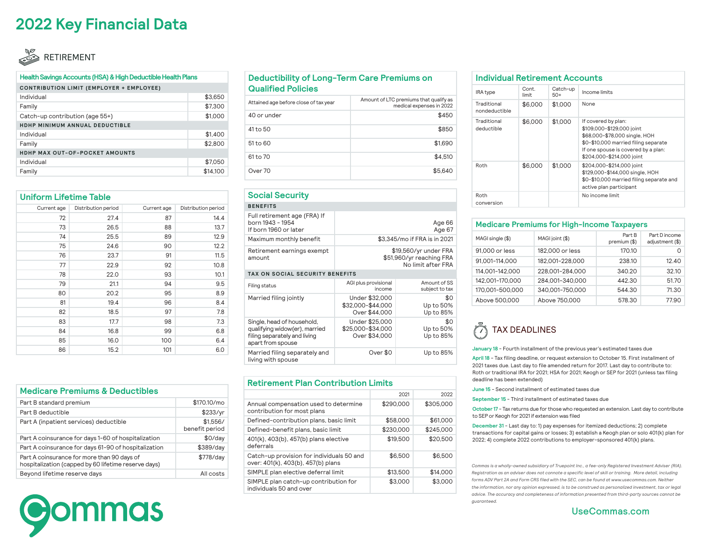### **2022 Key Financial Data**

### RETIREMENT

#### **Health Savings Accounts (HSA) & High Deductible Health Plans**

| CONTRIBUTION LIMIT (EMPLOYER + EMPLOYEE)<br>Individual<br>Family<br>Catch-up contribution (age 55+)<br>HDHP MINIMUM ANNUAL DEDUCTIBLE | \$3,650<br>\$7,300 |  |
|---------------------------------------------------------------------------------------------------------------------------------------|--------------------|--|
|                                                                                                                                       |                    |  |
|                                                                                                                                       |                    |  |
|                                                                                                                                       |                    |  |
|                                                                                                                                       | \$1,000            |  |
|                                                                                                                                       |                    |  |
| Individual                                                                                                                            | \$1,400            |  |
| Family                                                                                                                                | \$2,800            |  |
| HDHP MAX OUT-OF-POCKET AMOUNTS                                                                                                        |                    |  |
| Individual                                                                                                                            | \$7,050            |  |
| Family                                                                                                                                | \$14,100           |  |

| <b>Uniform Lifetime Table</b> |                     |             |                     |
|-------------------------------|---------------------|-------------|---------------------|
| Current age                   | Distribution period | Current age | Distribution period |
| 72                            | 27.4                | 87          | 14.4                |
| 73                            | 26.5                | 88          | 13.7                |
| 74                            | 25.5                | 89          | 12.9                |
| 75                            | 24.6                | 90          | 12.2                |
| 76                            | 23.7                | 91          | 11.5                |
| 77                            | 22.9                | 92          | 10.8                |
| 78                            | 22.0                | 93          | 10.1                |
| 79                            | 21.1                | 94          | 9.5                 |
| 80                            | 20.2                | 95          | 8.9                 |
| 81                            | 19.4                | 96          | 8.4                 |
| 82                            | 18.5                | 97          | 7.8                 |
| 83                            | 17.7                | 98          | 7.3                 |
| 84                            | 16.8                | 99          | 6.8                 |
| 85                            | 16.0                | 100         | 6.4                 |
| 86                            | 15.2                | 101         | 6.0                 |

| <b>Medicare Premiums &amp; Deductibles</b><br>Part B standard premium<br>Part B deductible          |                            |
|-----------------------------------------------------------------------------------------------------|----------------------------|
|                                                                                                     |                            |
|                                                                                                     | \$170.10/mo                |
|                                                                                                     | \$233/yr                   |
| Part A (inpatient services) deductible                                                              | \$1.556/<br>benefit period |
| Part A coinsurance for days 1-60 of hospitalization                                                 | \$0/day                    |
| Part A coinsurance for days 61-90 of hospitalization                                                | \$389/day                  |
| Part A coinsurance for more than 90 days of<br>hospitalization (capped by 60 lifetime reserve days) | \$778/day                  |
| Beyond lifetime reserve days                                                                        | All costs                  |

# **O**ommas

### **Deductibility of Long-Term Care Premiums on Qualified Policies**

| Attained age before close of tax year | Amount of LTC premiums that qualify as<br>medical expenses in 2022 |
|---------------------------------------|--------------------------------------------------------------------|
| 40 or under                           | \$450                                                              |
| 41 to 50                              | \$850                                                              |
| 51 to 60                              | \$1,690                                                            |
| 61 to 70                              | \$4.510                                                            |
| Over 70                               | \$5,640                                                            |

### **Social Security**

| <b>OUGHOGGHILY</b>                                                        |                                                                         |                                |  |  |
|---------------------------------------------------------------------------|-------------------------------------------------------------------------|--------------------------------|--|--|
| <b>BENEFITS</b>                                                           |                                                                         |                                |  |  |
| Full retirement age (FRA) If<br>born 1943 - 1954<br>If born 1960 or later | Age 66<br>Age 67                                                        |                                |  |  |
| Maximum monthly benefit                                                   | \$3,345/mo if FRA is in 2021                                            |                                |  |  |
| Retirement earnings exempt<br>amount                                      | \$19,560/yr under FRA<br>\$51,960/yr reaching FRA<br>No limit after FRA |                                |  |  |
| TAX ON SOCIAL SECURITY BENEFITS                                           |                                                                         |                                |  |  |
| Filing status                                                             | AGI plus provisional<br>income                                          | Amount of SS<br>subject to tax |  |  |
| Married filing jointly                                                    | Under \$32,000<br>\$32,000-\$44,000<br>Over \$44,000                    | \$0<br>Up to 50%<br>Up to 85%  |  |  |
| Single, head of household,<br>qualifying widow(er), married               | Under \$25,000<br>\$25,000-\$34,000                                     | \$0<br>Up to 50%               |  |  |

#### filing separately and living apart from spouse Over \$34,000 Up to 85% Married filing separately and living with spouse Over \$0 Up to 85%

### **Retirement Plan Contribution Limits**

|                                                                                 | 2021      | 2022      |
|---------------------------------------------------------------------------------|-----------|-----------|
| Annual compensation used to determine<br>contribution for most plans            | \$290,000 | \$305,000 |
| Defined-contribution plans, basic limit                                         | \$58,000  | \$61,000  |
| Defined-benefit plans, basic limit                                              | \$230,000 | \$245,000 |
| 401(k), 403(b), 457(b) plans elective<br>deferrals                              | \$19,500  | \$20,500  |
| Catch-up provision for individuals 50 and<br>over: 401(k), 403(b), 457(b) plans | \$6,500   | \$6,500   |
| SIMPLE plan elective deferral limit                                             | \$13,500  | \$14,000  |
| SIMPLE plan catch-up contribution for<br>individuals 50 and over                | \$3,000   | \$3,000   |

| <b>Individual Retirement Accounts</b> |                |                   |                                                                                                                                                                                               |
|---------------------------------------|----------------|-------------------|-----------------------------------------------------------------------------------------------------------------------------------------------------------------------------------------------|
| <b>IRA</b> type                       | Cont.<br>limit | Catch-up<br>$50+$ | Income limits                                                                                                                                                                                 |
| Traditional<br>nondeductible          | \$6,000        | \$1,000           | None                                                                                                                                                                                          |
| Traditional<br>deductible             | \$6,000        | \$1,000           | If covered by plan:<br>\$109,000-\$129,000 joint<br>\$68,000-\$78,000 single, HOH<br>\$0-\$10,000 married filing separate<br>If one spouse is covered by a plan:<br>\$204,000-\$214,000 joint |
| Roth                                  | \$6,000        | \$1,000           | \$204,000-\$214,000 joint<br>\$129,000-\$144,000 single, HOH<br>\$0-\$10,000 married filing separate and<br>active plan participant                                                           |
| Roth<br>conversion                    |                |                   | No income limit                                                                                                                                                                               |

### **Medicare Premiums for High-Income Taxpayers**

| MAGI single (\$) | MAGI joint (\$) | Part B<br>premium (\$) | Part D income<br>adjustment (\$) |
|------------------|-----------------|------------------------|----------------------------------|
| 91,000 or less   | 182,000 or less | 170.10                 | O                                |
| 91,001-114,000   | 182,001-228,000 | 238.10                 | 12.40                            |
| 114,001-142,000  | 228,001-284,000 | 340.20                 | 32.10                            |
| 142,001-170,000  | 284,001-340,000 | 442.30                 | 51.70                            |
| 170,001-500,000  | 340,001-750,000 | 544.30                 | 71.30                            |
| Above 500,000    | Above 750,000   | 578.30                 | 77.90                            |

#### ň TAX DEADLINES

**January 18** - Fourth installment of the previous year's estimated taxes due

**April 18** - Tax filing deadline, or request extension to October 15. First installment of 2021 taxes due. Last day to file amended return for 2017. Last day to contribute to: Roth or traditional IRA for 2021; HSA for 2021; Keogh or SEP for 2021 (unless tax filing deadline has been extended)

- **June 15** Second installment of estimated taxes due
- **September 15** Third installment of estimated taxes due

**October 17** - Tax returns due for those who requested an extension. Last day to contribute to SEP or Keogh for 2021 if extension was filed

**December 31** - Last day to: 1) pay expenses for itemized deductions; 2) complete transactions for capital gains or losses; 3) establish a Keogh plan or solo 401(k) plan for 2022; 4) complete 2022 contributions to employer-sponsored 401(k) plans.

*Commas is a wholly-owned subsidiary of Truepoint Inc., a fee-only Registered Investment Adviser (RIA). Registration as an adviser does not connote a specific level of skill or training. More detail, including forms ADV Part 2A and Form CRS filed with the SEC, can be found at www.usecommas.com. Neither the information, nor any opinion expressed, is to be construed as personalized investment, tax or legal advice. The accuracy and completeness of information presented from third-party sources cannot be guaranteed.*